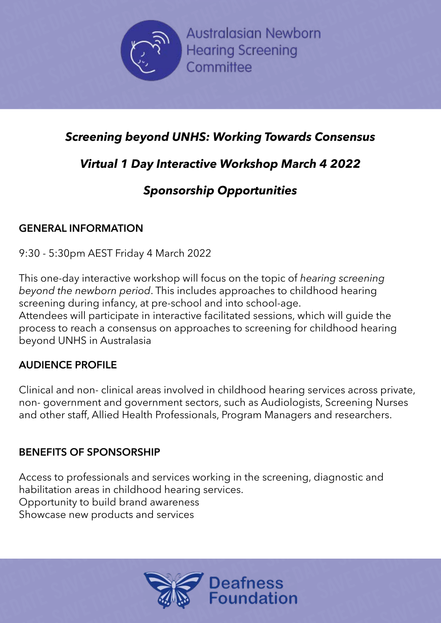

Australasian Newborn<br>Rearing Screening<br>Committee Ilasian Newborn<br>ng Screening<br>nittee **n** SNEWEDATE Save the Date Save the Date Save the Date Save the Date Save the Date Save the Date Save the Date Save the Date Save the Date Save the Date Save the Date Save the Date Save the Date Save the Date Save the Date Save the Dat

## Screening bey<br>Virtual 1 Day Screening beyond UNHS: W<br>Virtual 1 Day Interactive<br>Sponsorship ( Screening beyond UNHS: Working Toward:<br>Virtual 1 Day Interactive Workshop Marc<br>Sponsorship Opportunities Screening beyond UNHS: Working To<br>Virtual 1 Day Interactive Workshop<br>Sponsorship Opportuni<br>GENERAL INFORMATION Save the Date Save the Date<br>Save the Date<br>Save the Date Save the Date Save the Date Save the Date Save the Date Save the Date Save the Date Save the Da<br>Save the Date Save the Date Save the Date Save the Date Save the Date Towards Consensus<br>The Date Save the Date Save the Date Save the Date Save the Date Save the Date Save the Date Save the Date Sa<br>The Date Save the Date Save the Date Save the Date Save the Date Save the Date Save the Date S ng Towards Consensus<br>«shop March 4 2022<br>»rtunities *Screening beyond UNHS: Working Towards Consensus*

# **Virtual 1 Day Interactive Worksho**<br>**Sponsorship Opportu**<br>GENERAL INFORMATION<br>9:30 - 5:30pm AEST Friday 4 March 2022<br>This one-day interactive workshop will focus on the to  $\overline{a}$  and  $\overline{b}$  and  $\overline{b}$  and  $\overline{b}$  and  $\overline{b}$  and  $\overline{b}$  and  $\overline{b}$  and  $\overline{b}$  and  $\overline{b}$  and  $\overline{b}$  and  $\overline{b}$  and  $\overline{b}$  and  $\overline{b}$  and  $\overline{b}$  and  $\overline{b}$  and  $\overline{b}$  and  $\overline{b}$  and *Virtual 1 Day Interactive Workshop March 4 2022*

#### *Sponsorship Opportunities*

#### **GENERAL INFORMATION**

9:30 - 5:30pm AEST Friday 4 March 2022

**Sponsorship Opportu**<br>GENERAL INFORMATION<br>9:30 - 5:30pm AEST Friday 4 March 2022<br>This one-day interactive workshop will focus on the to<br>beyond the newborn period. This includes approache<br>screening during infancy, at pre-sc **INERAL INFORMATION<br>
So - 5:30pm AEST Friday 4 March 2022<br>
Sone-day interactive workshop will focus on<br>
Soning during infancy, at are school and into GENERAL INFORMATION**<br>9:30 - 5:30pm AEST Friday 4 March 2022<br>This one-day interactive workshop will focus on the topic of *hea*<br>*beyond the newborn period*. This includes approaches to childh<br>screening during infancy, at p **CRMATION**<br>
AEST Friday 4 March 2022<br>
Interactive workshop will focus on the topic of *hearing screening*<br> *wborn period*. This includes approaches to childhood hearing<br>
ing infancy, at pre-school and into school-age.<br>
par March 2022<br>hop will focus on the topic of *hearing screeni*<br>his includes approaches to childhood hearin<br>re-school and into school-age.<br>teractive facilitated sessions, which will guide<br>on approaches to screening for childho kshop will focus on the topic of *hearing scree*.<br>This includes approaches to childhood hear<br>pre-school and into school-age.<br>interactive facilitated sessions, which will guid<br>s on approaches to screening for childhood l nes to emanood near<br>nool-age.<br>essions, which will guid<br>eening for childhood h be<br>sc<br>At<br>pr<br>be Save the Date ing<br>19 will guide the<br>Idhood hearing This one-day interactive workshop will focus on the topic of *hearing screening beyond the newborn period*. This includes approaches to childhood hearing screening during infancy, at pre-school and into school-age. Attendees will participate in interactive facilitated sessions, which will guide the process to reach a consensus on approaches to screening for childhood hearing beyond UNHS in Australasia

### **AUDIENCE PROFILE**

Clinical and non- clinical areas involved in childhood hearing services across private, non- government and government sectors, such as Audiologists, Screening Nurses and other staff, Allied Health Professionals, Program Managers and researchers.

#### **BENEFITS OF SPONSORSHIP**

Access to professionals and services working in the screening, diagnostic and habilitation areas in childhood hearing services. Opportunity to build brand awareness **BENEFITS OF SPONSORSHIP**<br>Access to professionals and services whabilitation areas in childhood hearin<br>Opportunity to build brand awarenes<br>Showcase new products and services BENEFITS OF SPONSORSHIP<br>Access to professionals and services work<br>habilitation areas in childhood hearing se<br>Opportunity to build brand awareness<br>Showcase new products and services **BENEFITS OF SPONSORSHIP**<br>Access to professionals and services working in the screenin<br>habilitation areas in childhood hearing services.<br>Opportunity to build brand awareness<br>Showcase new products and services Access to professionals and services working in the schabilitation areas in childhood hearing services.<br>
Opportunity to build brand awareness<br>
Showcase new products and services<br>
Showcase new products and services<br>
Showcas screening, diagnostic a<br>.  $S^{\text{rad}}$ 



SAVE THE DATE